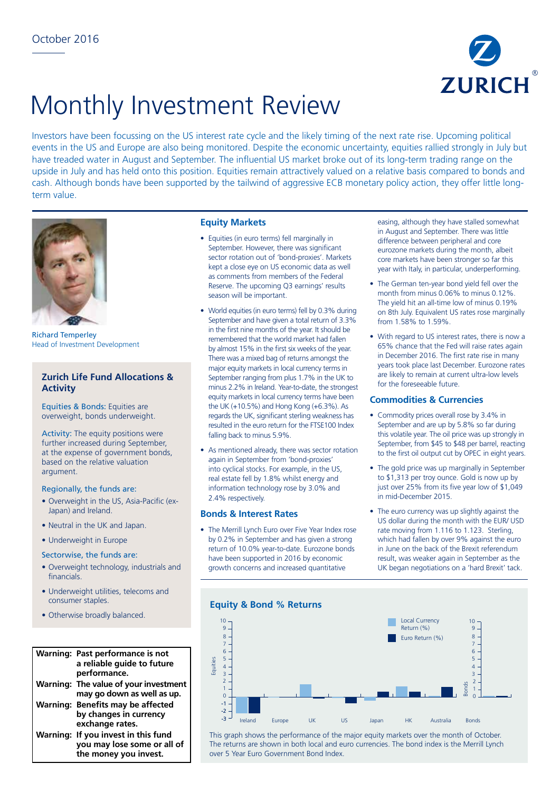

# Monthly Investment Review

Investors have been focussing on the US interest rate cycle and the likely timing of the next rate rise. Upcoming political events in the US and Europe are also being monitored. Despite the economic uncertainty, equities rallied strongly in July but have treaded water in August and September. The influential US market broke out of its long-term trading range on the upside in July and has held onto this position. Equities remain attractively valued on a relative basis compared to bonds and cash. Although bonds have been supported by the tailwind of aggressive ECB monetary policy action, they offer little longterm value.



Richard Temperley Head of Investment Development

# **Zurich Life Fund Allocations & Activity**

Equities & Bonds: Equities are overweight, bonds underweight.

Activity: The equity positions were further increased during September, at the expense of government bonds, based on the relative valuation argument.

## Regionally, the funds are:

- Overweight in the US, Asia-Pacific (ex-Japan) and Ireland.
- Neutral in the UK and Japan.
- Underweight in Europe

#### Sectorwise, the funds are:

- Overweight technology, industrials and 12 financials.
- Underweight utilities, telecoms and consumer staples.
- Otherwise broadly balanced.

#### **Warning: Past performance is not a reliable guide to future**  7 **performance. Warning: The value of your investment**  7 8 3 **may go down as well as up.**  0 6 **Warning: Benefits may be affected**  3 5 **by changes in currency**  -3 **exchange rates.**  exchange rates.<br>Warning: If you invest in this fund **you may lose some or all of**  -5 the money you invest. .........<br>ne or 7 -9

## **Equity Markets**

- Equities (in euro terms) fell marginally in September. However, there was significant sector rotation out of 'bond-proxies'. Markets kept a close eye on US economic data as well as comments from members of the Federal Reserve. The upcoming Q3 earnings' results season will be important.
- World equities (in euro terms) fell by 0.3% during September and have given a total return of 3.3% in the first nine months of the year. It should be remembered that the world market had fallen by almost 15% in the first six weeks of the year. There was a mixed bag of returns amongst the major equity markets in local currency terms in September ranging from plus 1.7% in the UK to minus 2.2% in Ireland. Year-to-date, the strongest equity markets in local currency terms have been the UK (+10.5%) and Hong Kong (+6.3%). As regards the UK, significant sterling weakness has resulted in the euro return for the FTSE100 Index falling back to minus 5.9%.
- As mentioned already, there was sector rotation again in September from 'bond-proxies' into cyclical stocks. For example, in the US, real estate fell by 1.8% whilst energy and information technology rose by 3.0% and 2.4% respectively.

## **Bonds & Interest Rates**

• The Merrill Lynch Euro over Five Year Index rose by 0.2% in September and has given a strong return of 10.0% year-to-date. Eurozone bonds have been supported in 2016 by economic growth concerns and increased quantitative

easing, although they have stalled somewhat in August and September. There was little difference between peripheral and core eurozone markets during the month, albeit core markets have been stronger so far this year with Italy, in particular, underperforming.

- The German ten-year bond yield fell over the month from minus 0.06% to minus 0.12%. The yield hit an all-time low of minus 0.19% on 8th July. Equivalent US rates rose marginally from 1.58% to 1.59%.
- With regard to US interest rates, there is now a 65% chance that the Fed will raise rates again in December 2016. The first rate rise in many years took place last December. Eurozone rates are likely to remain at current ultra-low levels for the foreseeable future.

#### **Commodities & Currencies**

- Commodity prices overall rose by 3.4% in September and are up by 5.8% so far during this volatile year. The oil price was up strongly in September, from \$45 to \$48 per barrel, reacting to the first oil output cut by OPEC in eight years.
- The gold price was up marginally in September to \$1,313 per troy ounce. Gold is now up by just over 25% from its five year low of \$1,049 in mid-December 2015.
- The euro currency was up slightly against the US dollar during the month with the EUR/ USD rate moving from 1.116 to 1.123. Sterling, which had fallen by over 9% against the euro in June on the back of the Brexit referendum result, was weaker again in September as the UK began negotiations on a 'hard Brexit' tack.

## **Equity & Bond % Returns**



This graph shows the performance of the major equity markets over the month of October. The returns are shown in both local and euro currencies. The bond index is the Merrill Lynch over 5 Year Euro Government Bond Index.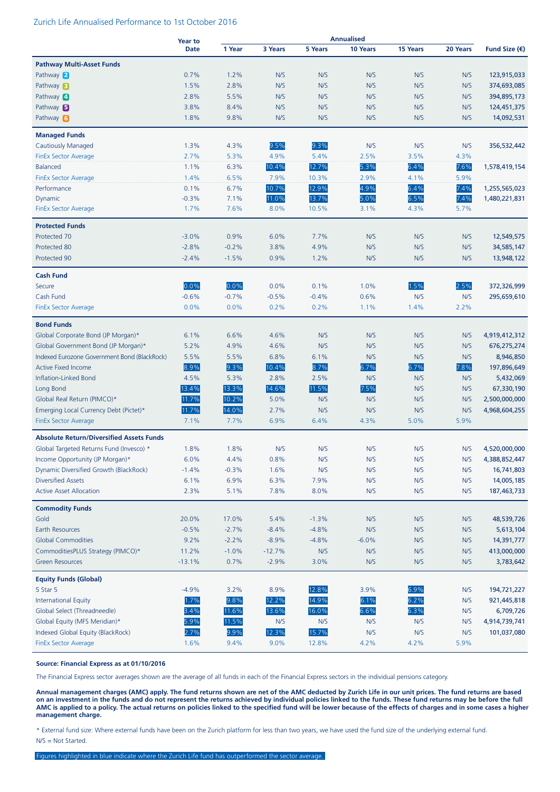#### Zurich Life Annualised Performance to 1st October 2016

|                                                 | <b>Year to</b> | <b>Annualised</b> |          |         |          |          |          |                        |
|-------------------------------------------------|----------------|-------------------|----------|---------|----------|----------|----------|------------------------|
|                                                 | <b>Date</b>    | 1 Year            | 3 Years  | 5 Years | 10 Years | 15 Years | 20 Years | Fund Size $(\epsilon)$ |
| <b>Pathway Multi-Asset Funds</b>                |                |                   |          |         |          |          |          |                        |
| Pathway 2                                       | 0.7%           | 1.2%              | N/S      | N/S     | N/S      | N/S      | N/S      | 123,915,033            |
| Pathway <b>B</b>                                | 1.5%           | 2.8%              | N/S      | N/S     | N/S      | N/S      | N/S      | 374,693,085            |
| Pathway 4                                       | 2.8%           | 5.5%              | N/S      | N/S     | N/S      | N/S      | N/S      | 394,895,173            |
| Pathway 5                                       | 3.8%           | 8.4%              | N/S      | N/S     | N/S      | N/S      | N/S      | 124,451,375            |
| Pathway 6                                       | 1.8%           | 9.8%              | N/S      | N/S     | N/S      | N/S      | N/S      | 14,092,531             |
|                                                 |                |                   |          |         |          |          |          |                        |
| <b>Managed Funds</b>                            |                |                   |          |         |          |          |          |                        |
| <b>Cautiously Managed</b>                       | 1.3%           | 4.3%              | 9.5%     | 9.3%    | N/S      | N/S      | N/S      | 356,532,442            |
| FinEx Sector Average                            | 2.7%           | 5.3%              | 4.9%     | 5.4%    | 2.5%     | 3.5%     | 4.3%     |                        |
| Balanced                                        | 1.1%           | 6.3%              | 10.4%    | 12.7%   | 5.3%     | 6.4%     | 7.6%     | 1,578,419,154          |
| <b>FinEx Sector Average</b>                     | 1.4%           | 6.5%              | 7.9%     | 10.3%   | 2.9%     | 4.1%     | 5.9%     |                        |
| Performance                                     | 0.1%           | 6.7%              | 10.7%    | 12.9%   | 4.9%     | 6.4%     | 7.4%     | 1,255,565,023          |
| Dynamic                                         | $-0.3%$        | 7.1%              | 11.0%    | 13.7%   | 5.0%     | 6.5%     | 7.4%     | 1,480,221,831          |
| <b>FinEx Sector Average</b>                     | 1.7%           | 7.6%              | 8.0%     | 10.5%   | 3.1%     | 4.3%     | 5.7%     |                        |
| <b>Protected Funds</b>                          |                |                   |          |         |          |          |          |                        |
| Protected 70                                    | $-3.0%$        | 0.9%              | 6.0%     | 7.7%    | N/S      | N/S      | N/S      | 12,549,575             |
| Protected 80                                    | $-2.8%$        | $-0.2%$           | 3.8%     | 4.9%    | N/S      | N/S      | N/S      | 34,585,147             |
| Protected 90                                    | $-2.4%$        | $-1.5%$           | 0.9%     | 1.2%    | N/S      | N/S      | N/S      | 13,948,122             |
| <b>Cash Fund</b>                                |                |                   |          |         |          |          |          |                        |
| Secure                                          | 0.0%           | 0.0%              | 0.0%     | 0.1%    | 1.0%     | 1.5%     | 2.5%     | 372,326,999            |
| Cash Fund                                       | $-0.6%$        | $-0.7%$           | $-0.5%$  | $-0.4%$ | 0.6%     | N/S      | N/S      | 295,659,610            |
| <b>FinEx Sector Average</b>                     | 0.0%           | 0.0%              | 0.2%     | 0.2%    | 1.1%     | 1.4%     | 2.2%     |                        |
|                                                 |                |                   |          |         |          |          |          |                        |
| <b>Bond Funds</b>                               |                |                   |          |         |          |          |          |                        |
| Global Corporate Bond (JP Morgan)*              | 6.1%           | 6.6%              | 4.6%     | N/S     | N/S      | N/S      | N/S      | 4,919,412,312          |
| Global Government Bond (JP Morgan)*             | 5.2%           | 4.9%              | 4.6%     | N/S     | N/S      | N/S      | N/S      | 676,275,274            |
| Indexed Eurozone Government Bond (BlackRock)    | 5.5%           | 5.5%              | 6.8%     | 6.1%    | N/S      | N/S      | N/S      | 8,946,850              |
| <b>Active Fixed Income</b>                      | 8.9%           | 9.3%              | 10.4%    | 8.7%    | 6.7%     | 6.7%     | 7.8%     | 197,896,649            |
| Inflation-Linked Bond                           | 4.5%           | 5.3%              | 2.8%     | 2.5%    | N/S      | N/S      | N/S      | 5,432,069              |
| Long Bond                                       | 13.4%          | 13.3%             | 14.6%    | 11.5%   | 7.5%     | N/S      | N/S      | 67,330,190             |
| Global Real Return (PIMCO)*                     | 11.7%          | 10.2%             | 5.0%     | N/S     | N/S      | N/S      | N/S      | 2,500,000,000          |
| Emerging Local Currency Debt (Pictet)*          | 11.7%          | 14.0%             | 2.7%     | N/S     | N/S      | N/S      | N/S      | 4,968,604,255          |
| <b>FinEx Sector Average</b>                     | 7.1%           | 7.7%              | 6.9%     | 6.4%    | 4.3%     | 5.0%     | 5.9%     |                        |
| <b>Absolute Return/Diversified Assets Funds</b> |                |                   |          |         |          |          |          |                        |
| Global Targeted Returns Fund (Invesco) *        | 1.8%           | 1.8%              | N/S      | N/S     | N/S      | N/S      | N/S      | 4,520,000,000          |
| Income Opportunity (JP Morgan)*                 | 6.0%           | 4.4%              | 0.8%     | N/S     | N/S      | N/S      | N/S      | 4,388,852,447          |
| Dynamic Diversified Growth (BlackRock)          | $-1.4%$        | $-0.3%$           | 1.6%     | N/S     | N/S      | N/S      | N/S      | 16,741,803             |
| <b>Diversified Assets</b>                       | 6.1%           | 6.9%              | 6.3%     | 7.9%    | N/S      | N/S      | N/S      | 14,005,185             |
| <b>Active Asset Allocation</b>                  | 2.3%           | 5.1%              | 7.8%     | 8.0%    | N/S      | N/S      | N/S      | 187,463,733            |
| <b>Commodity Funds</b>                          |                |                   |          |         |          |          |          |                        |
| Gold                                            | 20.0%          | 17.0%             | 5.4%     | $-1.3%$ | N/S      | N/S      | N/S      | 48,539,726             |
| <b>Earth Resources</b>                          | $-0.5%$        | $-2.7%$           | $-8.4%$  | $-4.8%$ | N/S      | N/S      | N/S      | 5,613,104              |
| <b>Global Commodities</b>                       | 9.2%           | $-2.2%$           | $-8.9%$  | $-4.8%$ | $-6.0%$  | N/S      | N/S      | 14,391,777             |
| CommoditiesPLUS Strategy (PIMCO)*               | 11.2%          | $-1.0%$           | $-12.7%$ | N/S     | N/S      | N/S      | N/S      | 413,000,000            |
| <b>Green Resources</b>                          | $-13.1%$       | 0.7%              | $-2.9%$  | 3.0%    | N/S      | N/S      | N/S      | 3,783,642              |
|                                                 |                |                   |          |         |          |          |          |                        |
| <b>Equity Funds (Global)</b>                    |                |                   |          |         |          |          |          |                        |
| 5 Star 5                                        | $-4.9%$        | 3.2%              | 8.9%     | 12.8%   | 3.9%     | 6.9%     | N/S      | 194,721,227            |
| <b>International Equity</b>                     | 1.7%           | 9.8%              | 12.2%    | 14.9%   | 6.1%     | 6.2%     | N/S      | 921,445,818            |
| Global Select (Threadneedle)                    | 3.4%           | 11.6%             | 13.6%    | 16.0%   | 6.6%     | 6.3%     | N/S      | 6,709,726              |
| Global Equity (MFS Meridian)*                   | 5.9%           | 11.5%             | N/S      | N/S     | N/S      | N/S      | N/S      | 4,914,739,741          |
| Indexed Global Equity (BlackRock)               | 2.7%           | 9.9%              | 12.3%    | 15.7%   | N/S      | N/S      | N/S      | 101,037,080            |
| <b>FinEx Sector Average</b>                     | 1.6%           | 9.4%              | 9.0%     | 12.8%   | 4.2%     | 4.2%     | 5.9%     |                        |

#### **Source: Financial Express as at 01/10/2016**

The Financial Express sector averages shown are the average of all funds in each of the Financial Express sectors in the individual pensions category.

**Annual management charges (AMC) apply. The fund returns shown are net of the AMC deducted by Zurich Life in our unit prices. The fund returns are based on an investment in the funds and do not represent the returns achieved by individual policies linked to the funds. These fund returns may be before the full AMC is applied to a policy. The actual returns on policies linked to the specified fund will be lower because of the effects of charges and in some cases a higher management charge.**

\* External fund size: Where external funds have been on the Zurich platform for less than two years, we have used the fund size of the underlying external fund. N/S = Not Started.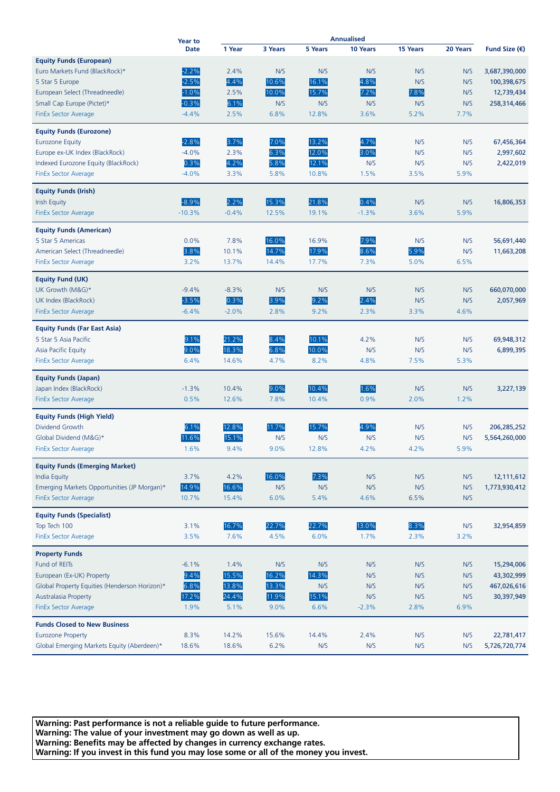|                                                                            | <b>Year to</b> | Annualised     |             |              |             |             |             |                        |
|----------------------------------------------------------------------------|----------------|----------------|-------------|--------------|-------------|-------------|-------------|------------------------|
|                                                                            | <b>Date</b>    | 1 Year         | 3 Years     | 5 Years      | 10 Years    | 15 Years    | 20 Years    | Fund Size $(\epsilon)$ |
| <b>Equity Funds (European)</b>                                             |                |                |             |              |             |             |             |                        |
| Euro Markets Fund (BlackRock)*                                             | $-2.2%$        | 2.4%           | N/S         | N/S          | N/S         | N/S         | N/S         | 3,687,390,000          |
| 5 Star 5 Europe                                                            | $-2.5%$        | 4.4%           | 10.6%       | 16.1%        | 4.8%        | N/S         | N/S         | 100,398,675            |
| European Select (Threadneedle)                                             | $-1.0%$        | 2.5%           | 10.0%       | 15.7%        | 7.2%        | 7.8%        | N/S         | 12,739,434             |
| Small Cap Europe (Pictet)*                                                 | $-0.3%$        | 6.1%           | N/S         | N/S          | N/S         | N/S         | N/S         | 258,314,466            |
| <b>FinEx Sector Average</b>                                                | $-4.4%$        | 2.5%           | 6.8%        | 12.8%        | 3.6%        | 5.2%        | 7.7%        |                        |
| <b>Equity Funds (Eurozone)</b>                                             |                |                |             |              |             |             |             |                        |
| <b>Eurozone Equity</b>                                                     | $-2.8%$        | 3.7%           | 7.0%        | 13.2%        | 4.7%        | N/S         | N/S         | 67,456,364             |
| Europe ex-UK Index (BlackRock)                                             | $-4.0%$        | 2.3%           | 6.3%        | 12.0%        | 3.0%        | N/S         | N/S         | 2,997,602              |
| Indexed Eurozone Equity (BlackRock)                                        | 0.3%           | 4.2%           | 5.8%        | 12.1%        | N/S         | N/S         | N/S         | 2,422,019              |
| <b>FinEx Sector Average</b>                                                | $-4.0%$        | 3.3%           | 5.8%        | 10.8%        | 1.5%        | 3.5%        | 5.9%        |                        |
| <b>Equity Funds (Irish)</b>                                                |                |                |             |              |             |             |             |                        |
| <b>Irish Equity</b>                                                        | $-8.9%$        | 2.2%           | 15.3%       | 21.8%        | 0.4%        | N/S         | N/S         | 16,806,353             |
| <b>FinEx Sector Average</b>                                                | $-10.3%$       | $-0.4%$        | 12.5%       | 19.1%        | $-1.3%$     | 3.6%        | 5.9%        |                        |
|                                                                            |                |                |             |              |             |             |             |                        |
| <b>Equity Funds (American)</b>                                             |                |                |             |              |             |             |             |                        |
| 5 Star 5 Americas                                                          | 0.0%           | 7.8%           | 16.0%       | 16.9%        | 7.9%        | N/S         | N/S         | 56,691,440             |
| American Select (Threadneedle)                                             | 3.8%           | 10.1%          | 14.7%       | 17.9%        | 8.6%        | 5.9%        | N/S         | 11,663,208             |
| <b>FinEx Sector Average</b>                                                | 3.2%           | 13.7%          | 14.4%       | 17.7%        | 7.3%        | 5.0%        | 6.5%        |                        |
| <b>Equity Fund (UK)</b>                                                    |                |                |             |              |             |             |             |                        |
| UK Growth (M&G)*                                                           | $-9.4%$        | $-8.3%$        | N/S         | N/S          | N/S         | N/S         | N/S         | 660,070,000            |
| UK Index (BlackRock)                                                       | $-3.5%$        | 0.3%           | 3.9%        | 9.2%         | 2.4%        | N/S         | N/S         | 2,057,969              |
| <b>FinEx Sector Average</b>                                                | $-6.4%$        | $-2.0%$        | 2.8%        | 9.2%         | 2.3%        | 3.3%        | 4.6%        |                        |
| <b>Equity Funds (Far East Asia)</b>                                        |                |                |             |              |             |             |             |                        |
| 5 Star 5 Asia Pacific                                                      | 9.1%           | 21.2%          | 8.4%        | 10.1%        | 4.2%        | N/S         | N/S         | 69,948,312             |
| Asia Pacific Equity                                                        | 9.0%           | 18.3%          | 6.8%        | 10.0%        | N/S         | N/S         | N/S         | 6,899,395              |
| <b>FinEx Sector Average</b>                                                | 6.4%           | 14.6%          | 4.7%        | 8.2%         | 4.8%        | 7.5%        | 5.3%        |                        |
| <b>Equity Funds (Japan)</b>                                                |                |                |             |              |             |             |             |                        |
| Japan Index (BlackRock)                                                    | $-1.3%$        | 10.4%          | 9.0%        | 10.4%        | 1.6%        | N/S         | N/S         | 3,227,139              |
| <b>FinEx Sector Average</b>                                                | 0.5%           | 12.6%          | 7.8%        | 10.4%        | 0.9%        | 2.0%        | 1.2%        |                        |
|                                                                            |                |                |             |              |             |             |             |                        |
| <b>Equity Funds (High Yield)</b><br>Dividend Growth                        |                |                |             | 15.7%        | 4.9%        |             |             |                        |
|                                                                            | 6.1%<br>11.6%  | 12.8%          | 11.7%       |              |             | N/S<br>N/S  | N/S         | 206,285,252            |
| Global Dividend (M&G)*                                                     | 1.6%           | 15.1%<br>9.4%  | N/S<br>9.0% | N/S<br>12.8% | N/S<br>4.2% | 4.2%        | N/S<br>5.9% | 5,564,260,000          |
| <b>FinEx Sector Average</b>                                                |                |                |             |              |             |             |             |                        |
| <b>Equity Funds (Emerging Market)</b>                                      |                |                |             |              |             |             |             |                        |
| <b>India Equity</b>                                                        | 3.7%           | 4.2%           | 16.0%       | 7.3%         | N/S         | N/S         | N/S         | 12,111,612             |
| Emerging Markets Opportunities (JP Morgan)*<br><b>FinEx Sector Average</b> | 14.9%<br>10.7% | 16.6%<br>15.4% | N/S<br>6.0% | N/S<br>5.4%  | N/S<br>4.6% | N/S<br>6.5% | N/S<br>N/S  | 1,773,930,412          |
|                                                                            |                |                |             |              |             |             |             |                        |
| <b>Equity Funds (Specialist)</b>                                           |                |                |             |              |             |             |             |                        |
| Top Tech 100                                                               | 3.1%           | 16.7%          | 22.7%       | 22.7%        | 13.0%       | 8.3%        | N/S         | 32,954,859             |
| <b>FinEx Sector Average</b>                                                | 3.5%           | 7.6%           | 4.5%        | 6.0%         | 1.7%        | 2.3%        | 3.2%        |                        |
| <b>Property Funds</b>                                                      |                |                |             |              |             |             |             |                        |
| Fund of REITs                                                              | $-6.1%$        | 1.4%           | N/S         | N/S          | N/S         | N/S         | N/S         | 15,294,006             |
| European (Ex-UK) Property                                                  | 9.4%           | 15.5%          | 16.2%       | 14.3%        | N/S         | N/S         | N/S         | 43,302,999             |
| Global Property Equities (Henderson Horizon)*                              | 6.8%           | 13.8%          | 13.3%       | N/S          | N/S         | N/S         | N/S         | 467,026,616            |
| <b>Australasia Property</b>                                                | 17.2%          | 24.4%          | 11.9%       | 15.1%        | N/S         | N/S         | N/S         | 30,397,949             |
| <b>FinEx Sector Average</b>                                                | 1.9%           | 5.1%           | 9.0%        | 6.6%         | $-2.3%$     | 2.8%        | 6.9%        |                        |
| <b>Funds Closed to New Business</b>                                        |                |                |             |              |             |             |             |                        |
| <b>Eurozone Property</b>                                                   | 8.3%           | 14.2%          | 15.6%       | 14.4%        | 2.4%        | N/S         | N/S         | 22,781,417             |
| Global Emerging Markets Equity (Aberdeen)*                                 | 18.6%          | 18.6%          | 6.2%        | N/S          | N/S         | N/S         | N/S         | 5,726,720,774          |

**Warning: Past performance is not a reliable guide to future performance. Warning: The value of your investment may go down as well as up. Warning: Benefits may be affected by changes in currency exchange rates. Warning: If you invest in this fund you may lose some or all of the money you invest.**